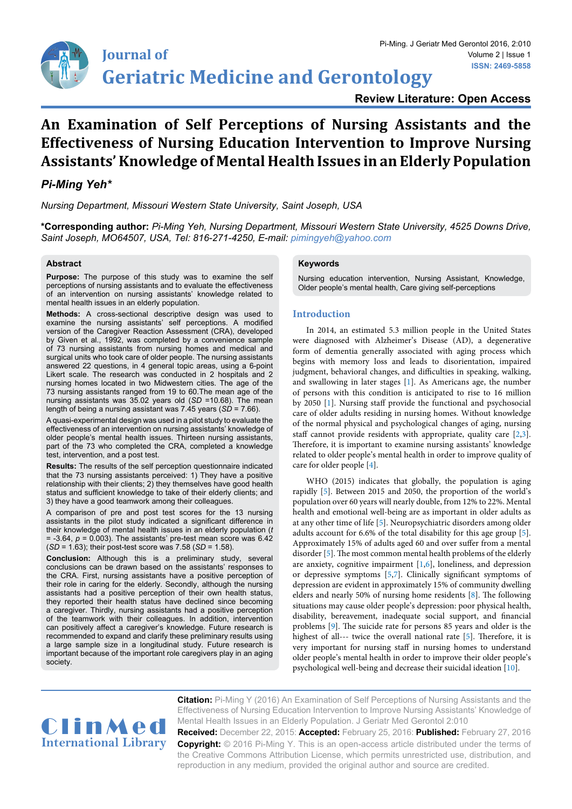

**Review Literature: Open Access**

# **An Examination of Self Perceptions of Nursing Assistants and the Effectiveness of Nursing Education Intervention to Improve Nursing Assistants' Knowledge of Mental Health Issues in an Elderly Population**

## *Pi-Ming Yeh\**

*Nursing Department, Missouri Western State University, Saint Joseph, USA*

**\*Corresponding author:** *Pi-Ming Yeh, Nursing Department, Missouri Western State University, 4525 Downs Drive, Saint Joseph, MO64507, USA, Tel: 816-271-4250, E-mail: pimingyeh@yahoo.com*

#### **Abstract**

**Purpose:** The purpose of this study was to examine the self perceptions of nursing assistants and to evaluate the effectiveness of an intervention on nursing assistants' knowledge related to mental health issues in an elderly population.

**Methods:** A cross-sectional descriptive design was used to examine the nursing assistants' self perceptions. A modified version of the Caregiver Reaction Assessment (CRA), developed by Given et al., 1992, was completed by a convenience sample of 73 nursing assistants from nursing homes and medical and surgical units who took care of older people. The nursing assistants answered 22 questions, in 4 general topic areas, using a 6-point Likert scale. The research was conducted in 2 hospitals and 2 nursing homes located in two Midwestern cities. The age of the 73 nursing assistants ranged from 19 to 60.The mean age of the nursing assistants was 35.02 years old (*SD* =10.68). The mean length of being a nursing assistant was 7.45 years (*SD* = 7.66).

A quasi-experimental design was used in a pilot study to evaluate the effectiveness of an intervention on nursing assistants' knowledge of older people's mental health issues. Thirteen nursing assistants, part of the 73 who completed the CRA, completed a knowledge test, intervention, and a post test.

**Results:** The results of the self perception questionnaire indicated that the 73 nursing assistants perceived: 1) They have a positive relationship with their clients; 2) they themselves have good health status and sufficient knowledge to take of their elderly clients; and 3) they have a good teamwork among their colleagues.

A comparison of pre and post test scores for the 13 nursing assistants in the pilot study indicated a significant difference in their knowledge of mental health issues in an elderly population (*t*  $= -3.64$ ,  $p = 0.003$ ). The assistants' pre-test mean score was  $6.42$ (*SD* = 1.63); their post-test score was 7.58 (*SD* = 1.58).

**Conclusion:** Although this is a preliminary study, several conclusions can be drawn based on the assistants' responses to the CRA. First, nursing assistants have a positive perception of their role in caring for the elderly. Secondly, although the nursing assistants had a positive perception of their own health status, they reported their health status have declined since becoming a caregiver. Thirdly, nursing assistants had a positive perception of the teamwork with their colleagues. In addition, intervention can positively affect a caregiver's knowledge. Future research is recommended to expand and clarify these preliminary results using a large sample size in a longitudinal study. Future research is important because of the important role caregivers play in an aging society.

#### **Keywords**

Nursing education intervention, Nursing Assistant, Knowledge, Older people's mental health, Care giving self-perceptions

## **Introduction**

In 2014, an estimated 5.3 million people in the United States were diagnosed with Alzheimer's Disease (AD), a degenerative form of dementia generally associated with aging process which begins with memory loss and leads to disorientation, impaired judgment, behavioral changes, and difficulties in speaking, walking, and swallowing in later stages [\[1\]](#page-4-0). As Americans age, the number of persons with this condition is anticipated to rise to 16 million by 2050 [\[1\]](#page-4-0). Nursing staff provide the functional and psychosocial care of older adults residing in nursing homes. Without knowledge of the normal physical and psychological changes of aging, nursing staff cannot provide residents with appropriate, quality care [[2](#page-4-1)[,3\]](#page-4-2). Therefore, it is important to examine nursing assistants' knowledge related to older people's mental health in order to improve quality of care for older people [\[4\]](#page-4-3).

WHO (2015) indicates that globally, the population is aging rapidly [[5\]](#page-4-4). Between 2015 and 2050, the proportion of the world's population over 60 years will nearly double, from 12% to 22%. Mental health and emotional well-being are as important in older adults as at any other time of life [[5\]](#page-4-4). Neuropsychiatric disorders among older adults account for 6.6% of the total disability for this age group [\[5\]](#page-4-4). Approximately 15% of adults aged 60 and over suffer from a mental disorder [[5](#page-4-4)]. The most common mental health problems of the elderly are anxiety, cognitive impairment [[1,](#page-4-0)[6](#page-4-5)], loneliness, and depression or depressive symptoms [\[5,](#page-4-4)[7](#page-4-6)]. Clinically significant symptoms of depression are evident in approximately 15% of community dwelling elders and nearly 50% of nursing home residents [\[8\]](#page-4-7). The following situations may cause older people's depression: poor physical health, disability, bereavement, inadequate social support, and financial problems [[9\]](#page-4-8). The suicide rate for persons 85 years and older is the highest of all--- twice the overall national rate [\[5](#page-4-4)]. Therefore, it is very important for nursing staff in nursing homes to understand older people's mental health in order to improve their older people's psychological well-being and decrease their suicidal ideation [\[10](#page-4-9)].



**Citation:** Pi-Ming Y (2016) An Examination of Self Perceptions of Nursing Assistants and the Effectiveness of Nursing Education Intervention to Improve Nursing Assistants' Knowledge of Mental Health Issues in an Elderly Population. J Geriatr Med Gerontol 2:010

**Received:** December 22, 2015: **Accepted:** February 25, 2016: **Published:** February 27, 2016 **Copyright:** © 2016 Pi-Ming Y. This is an open-access article distributed under the terms of the Creative Commons Attribution License, which permits unrestricted use, distribution, and reproduction in any medium, provided the original author and source are credited.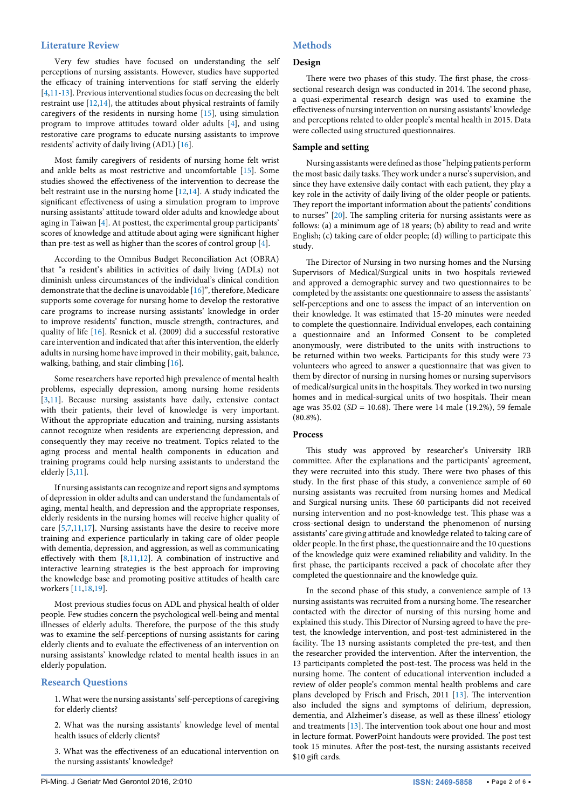#### **Literature Review**

Very few studies have focused on understanding the self perceptions of nursing assistants. However, studies have supported the efficacy of training interventions for staff serving the elderly [[4,](#page-4-3)[11-](#page-4-10)[13](#page-5-0)]. Previous interventional studies focus on decreasing the belt restraint use [[12](#page-4-11),[14](#page-5-1)], the attitudes about physical restraints of family caregivers of the residents in nursing home [[15](#page-5-2)], using simulation program to improve attitudes toward older adults [[4](#page-4-3)], and using restorative care programs to educate nursing assistants to improve residents' activity of daily living (ADL) [[16](#page-5-3)].

Most family caregivers of residents of nursing home felt wrist and ankle belts as most restrictive and uncomfortable [\[15\]](#page-5-2). Some studies showed the effectiveness of the intervention to decrease the belt restraint use in the nursing home [[12](#page-4-11)[,14\]](#page-5-1). A study indicated the significant effectiveness of using a simulation program to improve nursing assistants' attitude toward older adults and knowledge about aging in Taiwan [\[4\]](#page-4-3). At posttest, the experimental group participants' scores of knowledge and attitude about aging were significant higher than pre-test as well as higher than the scores of control group [[4](#page-4-3)].

According to the Omnibus Budget Reconciliation Act (OBRA) that "a resident's abilities in activities of daily living (ADLs) not diminish unless circumstances of the individual's clinical condition demonstrate that the decline is unavoidable [\[16\]](#page-5-3)", therefore, Medicare supports some coverage for nursing home to develop the restorative care programs to increase nursing assistants' knowledge in order to improve residents' function, muscle strength, contractures, and quality of life [\[16](#page-5-3)]. Resnick et al. (2009) did a successful restorative care intervention and indicated that after this intervention, the elderly adults in nursing home have improved in their mobility, gait, balance, walking, bathing, and stair climbing [\[16\]](#page-5-3).

Some researchers have reported high prevalence of mental health problems, especially depression, among nursing home residents [[3,](#page-4-2)[11\]](#page-4-10). Because nursing assistants have daily, extensive contact with their patients, their level of knowledge is very important. Without the appropriate education and training, nursing assistants cannot recognize when residents are experiencing depression, and consequently they may receive no treatment. Topics related to the aging process and mental health components in education and training programs could help nursing assistants to understand the elderly [\[3](#page-4-2)[,11](#page-4-10)].

If nursing assistants can recognize and report signs and symptoms of depression in older adults and can understand the fundamentals of aging, mental health, and depression and the appropriate responses, elderly residents in the nursing homes will receive higher quality of care [[5,](#page-4-4)[7](#page-4-6)[,11](#page-4-10)[,17\]](#page-5-4). Nursing assistants have the desire to receive more training and experience particularly in taking care of older people with dementia, depression, and aggression, as well as communicating effectively with them  $[8,11,12]$  $[8,11,12]$  $[8,11,12]$ . A combination of instructive and interactive learning strategies is the best approach for improving the knowledge base and promoting positive attitudes of health care workers [[11](#page-4-10)[,18](#page-5-5)[,19\]](#page-5-6).

Most previous studies focus on ADL and physical health of older people. Few studies concern the psychological well-being and mental illnesses of elderly adults. Therefore, the purpose of the this study was to examine the self-perceptions of nursing assistants for caring elderly clients and to evaluate the effectiveness of an intervention on nursing assistants' knowledge related to mental health issues in an elderly population.

#### **Research Questions**

1. What were the nursing assistants' self-perceptions of caregiving for elderly clients?

2. What was the nursing assistants' knowledge level of mental health issues of elderly clients?

3. What was the effectiveness of an educational intervention on the nursing assistants' knowledge?

#### **Design**

There were two phases of this study. The first phase, the crosssectional research design was conducted in 2014. The second phase, a quasi-experimental research design was used to examine the effectiveness of nursing intervention on nursing assistants' knowledge and perceptions related to older people's mental health in 2015. Data were collected using structured questionnaires.

#### **Sample and setting**

Nursing assistants were defined as those "helping patients perform the most basic daily tasks. They work under a nurse's supervision, and since they have extensive daily contact with each patient, they play a key role in the activity of daily living of the older people or patients. They report the important information about the patients' conditions to nurses" [[20](#page-5-7)]. The sampling criteria for nursing assistants were as follows: (a) a minimum age of 18 years; (b) ability to read and write English; (c) taking care of older people; (d) willing to participate this study.

The Director of Nursing in two nursing homes and the Nursing Supervisors of Medical/Surgical units in two hospitals reviewed and approved a demographic survey and two questionnaires to be completed by the assistants: one questionnaire to assess the assistants' self-perceptions and one to assess the impact of an intervention on their knowledge. It was estimated that 15-20 minutes were needed to complete the questionnaire. Individual envelopes, each containing a questionnaire and an Informed Consent to be completed anonymously, were distributed to the units with instructions to be returned within two weeks. Participants for this study were 73 volunteers who agreed to answer a questionnaire that was given to them by director of nursing in nursing homes or nursing supervisors of medical/surgical units in the hospitals. They worked in two nursing homes and in medical-surgical units of two hospitals. Their mean age was 35.02 (*SD* = 10.68). There were 14 male (19.2%), 59 female (80.8%).

#### **Process**

This study was approved by researcher's University IRB committee. After the explanations and the participants' agreement, they were recruited into this study. There were two phases of this study. In the first phase of this study, a convenience sample of 60 nursing assistants was recruited from nursing homes and Medical and Surgical nursing units. These 60 participants did not received nursing intervention and no post-knowledge test. This phase was a cross-sectional design to understand the phenomenon of nursing assistants' care giving attitude and knowledge related to taking care of older people. In the first phase, the questionnaire and the 10 questions of the knowledge quiz were examined reliability and validity. In the first phase, the participants received a pack of chocolate after they completed the questionnaire and the knowledge quiz.

In the second phase of this study, a convenience sample of 13 nursing assistants was recruited from a nursing home. The researcher contacted with the director of nursing of this nursing home and explained this study. This Director of Nursing agreed to have the pretest, the knowledge intervention, and post-test administered in the facility. The 13 nursing assistants completed the pre-test, and then the researcher provided the intervention. After the intervention, the 13 participants completed the post-test. The process was held in the nursing home. The content of educational intervention included a review of older people's common mental health problems and care plans developed by Frisch and Frisch, 2011 [[13\]](#page-5-0). The intervention also included the signs and symptoms of delirium, depression, dementia, and Alzheimer's disease, as well as these illness' etiology and treatments [\[13](#page-5-0)]. The intervention took about one hour and most in lecture format. PowerPoint handouts were provided. The post test took 15 minutes. After the post-test, the nursing assistants received \$10 gift cards.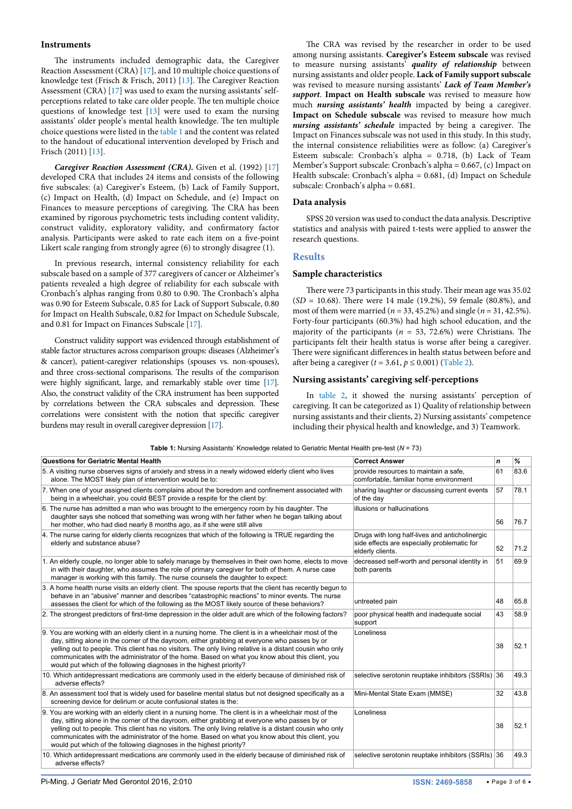#### **Instruments**

The instruments included demographic data, the Caregiver Reaction Assessment (CRA) [[17](#page-5-4)], and 10 multiple choice questions of knowledge test (Frisch & Frisch, 2011) [[13\]](#page-5-0). The Caregiver Reaction Assessment (CRA) [[17](#page-5-4)] was used to exam the nursing assistants' selfperceptions related to take care older people. The ten multiple choice questions of knowledge test [[13\]](#page-5-0) were used to exam the nursing assistants' older people's mental health knowledge. The ten multiple choice questions were listed in the [table 1](#page-2-0) and the content was related to the handout of educational intervention developed by Frisch and Frisch (2011) [[13](#page-5-0)].

*Caregiver Reaction Assessment (CRA).* Given et al. (1992) [[17](#page-5-4)] developed CRA that includes 24 items and consists of the following five subscales: (a) Caregiver's Esteem, (b) Lack of Family Support, (c) Impact on Health, (d) Impact on Schedule, and (e) Impact on Finances to measure perceptions of caregiving. The CRA has been examined by rigorous psychometric tests including content validity, construct validity, exploratory validity, and confirmatory factor analysis. Participants were asked to rate each item on a five-point Likert scale ranging from strongly agree (6) to strongly disagree (1).

In previous research, internal consistency reliability for each subscale based on a sample of 377 caregivers of cancer or Alzheimer's patients revealed a high degree of reliability for each subscale with Cronbach's alphas ranging from 0.80 to 0.90. The Cronbach's alpha was 0.90 for Esteem Subscale, 0.85 for Lack of Support Subscale, 0.80 for Impact on Health Subscale, 0.82 for Impact on Schedule Subscale, and 0.81 for Impact on Finances Subscale [\[17\]](#page-5-4).

Construct validity support was evidenced through establishment of stable factor structures across comparison groups: diseases (Alzheimer's & cancer), patient-caregiver relationships (spouses vs. non-spouses), and three cross-sectional comparisons. The results of the comparison were highly significant, large, and remarkably stable over time [\[17\]](#page-5-4). Also, the construct validity of the CRA instrument has been supported by correlations between the CRA subscales and depression. These correlations were consistent with the notion that specific caregiver burdens may result in overall caregiver depression [\[17\]](#page-5-4).

The CRA was revised by the researcher in order to be used among nursing assistants. **Caregiver's Esteem subscale** was revised to measure nursing assistants' *quality of relationship* between nursing assistants and older people. **Lack of Family support subscale** was revised to measure nursing assistants' *Lack of Team Member's support*. **Impact on Health subscale** was revised to measure how much *nursing assistants' health* impacted by being a caregiver. **Impact on Schedule subscale** was revised to measure how much *nursing assistants' schedule* impacted by being a caregiver. The Impact on Finances subscale was not used in this study. In this study, the internal consistence reliabilities were as follow: (a) Caregiver's Esteem subscale: Cronbach's alpha = 0.718, (b) Lack of Team Member's Support subscale: Cronbach's alpha = 0.667, (c) Impact on Health subscale: Cronbach's alpha = 0.681, (d) Impact on Schedule subscale: Cronbach's alpha = 0.681.

#### **Data analysis**

SPSS 20 version was used to conduct the data analysis. Descriptive statistics and analysis with paired t-tests were applied to answer the research questions.

#### **Results**

#### **Sample characteristics**

There were 73 participants in this study. Their mean age was 35.02 (*SD* = 10.68). There were 14 male (19.2%), 59 female (80.8%), and most of them were married ( $n = 33, 45.2\%$ ) and single ( $n = 31, 42.5\%$ ). Forty-four participants (60.3%) had high school education, and the majority of the participants (*n* = 53, 72.6%) were Christians. The participants felt their health status is worse after being a caregiver. There were significant differences in health status between before and after being a caregiver ( $t = 3.61$ ,  $p \le 0.001$ ) ([Table 2](#page-3-0)).

#### **Nursing assistants' caregiving self-perceptions**

In [table 2](#page-3-0), it showed the nursing assistants' perception of caregiving. It can be categorized as 1) Quality of relationship between nursing assistants and their clients, 2) Nursing assistants' competence including their physical health and knowledge, and 3) Teamwork.

<span id="page-2-0"></span>**Table 1:** Nursing Assistants' Knowledge related to Geriatric Mental Health pre-test (*N* = 73)

| <b>Questions for Geriatric Mental Health</b>                                                                                                                                                                                                                                                                                                                                                                                                                                                  | <b>Correct Answer</b>                                                                                             | $\mathbf n$ | %    |
|-----------------------------------------------------------------------------------------------------------------------------------------------------------------------------------------------------------------------------------------------------------------------------------------------------------------------------------------------------------------------------------------------------------------------------------------------------------------------------------------------|-------------------------------------------------------------------------------------------------------------------|-------------|------|
| 5. A visiting nurse observes signs of anxiety and stress in a newly widowed elderly client who lives<br>alone. The MOST likely plan of intervention would be to:                                                                                                                                                                                                                                                                                                                              | provide resources to maintain a safe,<br>comfortable, familiar home environment                                   | 61          | 83.6 |
| 7. When one of your assigned clients complains about the boredom and confinement associated with<br>being in a wheelchair, you could BEST provide a respite for the client by:                                                                                                                                                                                                                                                                                                                | sharing laughter or discussing current events<br>of the day                                                       | 57          | 78.1 |
| 6. The nurse has admitted a man who was brought to the emergency room by his daughter. The<br>daughter says she noticed that something was wrong with her father when he began talking about<br>her mother, who had died nearly 8 months ago, as if she were still alive                                                                                                                                                                                                                      | illusions or hallucinations                                                                                       | 56          | 76.7 |
| 4. The nurse caring for elderly clients recognizes that which of the following is TRUE regarding the<br>elderly and substance abuse?                                                                                                                                                                                                                                                                                                                                                          | Drugs with long half-lives and anticholinergic<br>side effects are especially problematic for<br>elderly clients. | 52          | 71.2 |
| 1. An elderly couple, no longer able to safely manage by themselves in their own home, elects to move<br>in with their daughter, who assumes the role of primary caregiver for both of them. A nurse case<br>manager is working with this family. The nurse counsels the daughter to expect:                                                                                                                                                                                                  | decreased self-worth and personal identity in<br>both parents                                                     | 51          | 69.9 |
| 3. A home health nurse visits an elderly client. The spouse reports that the client has recently begun to<br>behave in an "abusive" manner and describes "catastrophic reactions" to minor events. The nurse<br>assesses the client for which of the following as the MOST likely source of these behaviors?                                                                                                                                                                                  | untreated pain                                                                                                    | 48          | 65.8 |
| 2. The strongest predictors of first-time depression in the older adult are which of the following factors?                                                                                                                                                                                                                                                                                                                                                                                   | poor physical health and inadequate social<br>support                                                             | 43          | 58.9 |
| 9. You are working with an elderly client in a nursing home. The client is in a wheelchair most of the<br>day, sitting alone in the corner of the dayroom, either grabbing at everyone who passes by or<br>yelling out to people. This client has no visitors. The only living relative is a distant cousin who only<br>communicates with the administrator of the home. Based on what you know about this client, you<br>would put which of the following diagnoses in the highest priority? | Loneliness                                                                                                        | 38          | 52.1 |
| 10. Which antidepressant medications are commonly used in the elderly because of diminished risk of<br>adverse effects?                                                                                                                                                                                                                                                                                                                                                                       | selective serotonin reuptake inhibitors (SSRIs) 36                                                                |             | 49.3 |
| 8. An assessment tool that is widely used for baseline mental status but not designed specifically as a<br>screening device for delirium or acute confusional states is the:                                                                                                                                                                                                                                                                                                                  | Mini-Mental State Exam (MMSE)                                                                                     | 32          | 43.8 |
| 9. You are working with an elderly client in a nursing home. The client is in a wheelchair most of the<br>day, sitting alone in the corner of the dayroom, either grabbing at everyone who passes by or<br>yelling out to people. This client has no visitors. The only living relative is a distant cousin who only<br>communicates with the administrator of the home. Based on what you know about this client, you<br>would put which of the following diagnoses in the highest priority? | Loneliness                                                                                                        | 38          | 52.1 |
| 10. Which antidepressant medications are commonly used in the elderly because of diminished risk of<br>adverse effects?                                                                                                                                                                                                                                                                                                                                                                       | selective serotonin reuptake inhibitors (SSRIs) 36                                                                |             | 49.3 |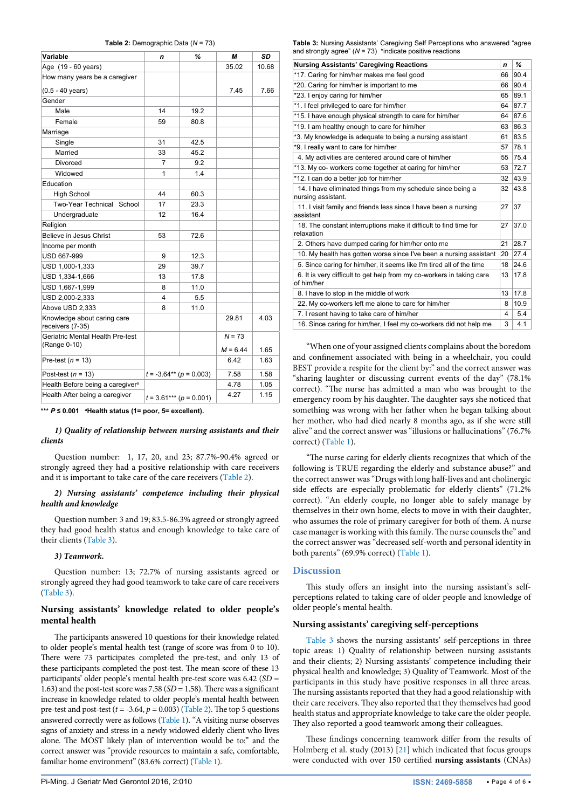<span id="page-3-0"></span>

|  | Table 2: Demographic Data ( $N = 73$ ) |  |  |
|--|----------------------------------------|--|--|
|--|----------------------------------------|--|--|

| Variable                                         | n  | %                             | М          | SD    |
|--------------------------------------------------|----|-------------------------------|------------|-------|
| Age (19 - 60 years)                              |    |                               | 35.02      | 10.68 |
| How many years be a caregiver                    |    |                               |            |       |
| $(0.5 - 40$ years)                               |    |                               | 7.45       | 7.66  |
| Gender                                           |    |                               |            |       |
| Male                                             | 14 | 19.2                          |            |       |
| Female                                           | 59 | 80.8                          |            |       |
| Marriage                                         |    |                               |            |       |
| Single                                           | 31 | 42.5                          |            |       |
| Married                                          | 33 | 45.2                          |            |       |
| <b>Divorced</b>                                  | 7  | 9.2                           |            |       |
| Widowed                                          | 1  | 1.4                           |            |       |
| Education                                        |    |                               |            |       |
| <b>High School</b>                               | 44 | 60.3                          |            |       |
| <b>Two-Year Technical</b><br>School              | 17 | 23.3                          |            |       |
| Undergraduate                                    | 12 | 16.4                          |            |       |
| Religion                                         |    |                               |            |       |
| Believe in Jesus Christ                          | 53 | 72.6                          |            |       |
| Income per month                                 |    |                               |            |       |
| USD 667-999                                      | 9  | 12.3                          |            |       |
| USD 1,000-1,333                                  | 29 | 39.7                          |            |       |
| USD 1,334-1,666                                  | 13 | 17.8                          |            |       |
| USD 1,667-1,999                                  | 8  | 11.0                          |            |       |
| USD 2,000-2,333                                  | 4  | 5.5                           |            |       |
| Above USD 2,333                                  | 8  | 11.0                          |            |       |
| Knowledge about caring care<br>receivers (7-35)  |    |                               | 29.81      | 4.03  |
| Geriatric Mental Health Pre-test<br>(Range 0-10) |    |                               | $N = 73$   |       |
|                                                  |    |                               | $M = 6.44$ | 1.65  |
| Pre-test $(n = 13)$                              |    |                               | 6.42       | 1.63  |
| Post-test $(n = 13)$                             |    | $t = -3.64**$ ( $p = 0.003$ ) | 7.58       | 1.58  |
| Health Before being a caregiver <sup>a</sup>     |    |                               | 4.78       | 1.05  |
| Health After being a caregiver                   |    | $t = 3.61***$ ( $p = 0.001$ ) | 4.27       | 1.15  |

**\*\*\*** *P* **≤ 0.001 <sup>a</sup> Health status (1= poor, 5= excellent).**

#### *1) Quality of relationship between nursing assistants and their clients*

Question number: 1, 17, 20, and 23; 87.7%-90.4% agreed or strongly agreed they had a positive relationship with care receivers and it is important to take care of the care receivers [\(Table 2\)](#page-3-0).

#### *2) Nursing assistants' competence including their physical health and knowledge*

Question number: 3 and 19; 83.5-86.3% agreed or strongly agreed they had good health status and enough knowledge to take care of their clients [\(Table 3\)](#page-3-1).

#### *3) Teamwork.*

Question number: 13; 72.7% of nursing assistants agreed or strongly agreed they had good teamwork to take care of care receivers ([Table 3](#page-3-1)).

## **Nursing assistants' knowledge related to older people's mental health**

The participants answered 10 questions for their knowledge related to older people's mental health test (range of score was from 0 to 10). There were 73 participates completed the pre-test, and only 13 of these participants completed the post-test. The mean score of these 13 participants' older people's mental health pre-test score was 6.42 (*SD* = 1.63) and the post-test score was 7.58 (*SD* = 1.58). There was a significant increase in knowledge related to older people's mental health between pre-test and post-test  $(t = -3.64, p = 0.003)$  [\(Table 2\)](#page-3-0). The top 5 questions answered correctly were as follows ([Table 1](#page-2-0)). "A visiting nurse observes signs of anxiety and stress in a newly widowed elderly client who lives alone. The MOST likely plan of intervention would be to:" and the correct answer was "provide resources to maintain a safe, comfortable, familiar home environment" (83.6% correct) [\(Table 1](#page-2-0)).

<span id="page-3-1"></span>**Table 3:** Nursing Assistants' Caregiving Self Perceptions who answered "agree and strongly agree"  $(N = 73)$  \*indicate positive reactions

| <b>Nursing Assistants' Caregiving Reactions</b>                                     | n  | %    |
|-------------------------------------------------------------------------------------|----|------|
| *17. Caring for him/her makes me feel good                                          | 66 | 90.4 |
| *20. Caring for him/her is important to me                                          | 66 | 90.4 |
| *23. I enjoy caring for him/her                                                     | 65 | 89.1 |
| *1. I feel privileged to care for him/her                                           | 64 | 87.7 |
| *15. I have enough physical strength to care for him/her                            | 64 | 87.6 |
| *19. I am healthy enough to care for him/her                                        | 63 | 86.3 |
| *3. My knowledge is adequate to being a nursing assistant                           | 61 | 83.5 |
| *9. I really want to care for him/her                                               | 57 | 78.1 |
| 4. My activities are centered around care of him/her                                | 55 | 75.4 |
| *13. My co- workers come together at caring for him/her                             | 53 | 72.7 |
| *12. I can do a better job for him/her                                              | 32 | 43.9 |
| 14. I have eliminated things from my schedule since being a<br>nursing assistant.   | 32 | 43.8 |
| 11. I visit family and friends less since I have been a nursing<br>assistant        | 27 | 37   |
| 18. The constant interruptions make it difficult to find time for<br>relaxation     | 27 | 37.0 |
| 2. Others have dumped caring for him/her onto me                                    | 21 | 28.7 |
| 10. My health has gotten worse since I've been a nursing assistant                  | 20 | 27.4 |
| 5. Since caring for him/her, it seems like I'm tired all of the time                | 18 | 24.6 |
| 6. It is very difficult to get help from my co-workers in taking care<br>of him/her | 13 | 17.8 |
| 8. I have to stop in the middle of work                                             | 13 | 17.8 |
| 22. My co-workers left me alone to care for him/her                                 | 8  | 10.9 |
| 7. I resent having to take care of him/her                                          | 4  | 5.4  |
| 16. Since caring for him/her, I feel my co-workers did not help me                  | 3  | 4.1  |
|                                                                                     |    |      |

"When one of your assigned clients complains about the boredom and confinement associated with being in a wheelchair, you could BEST provide a respite for the client by:" and the correct answer was "sharing laughter or discussing current events of the day" (78.1% correct). "The nurse has admitted a man who was brought to the emergency room by his daughter. The daughter says she noticed that something was wrong with her father when he began talking about her mother, who had died nearly 8 months ago, as if she were still alive" and the correct answer was "illusions or hallucinations" (76.7% correct) [\(Table 1\)](#page-2-0).

"The nurse caring for elderly clients recognizes that which of the following is TRUE regarding the elderly and substance abuse?" and the correct answer was "Drugs with long half-lives and ant cholinergic side effects are especially problematic for elderly clients" (71.2% correct). "An elderly couple, no longer able to safely manage by themselves in their own home, elects to move in with their daughter, who assumes the role of primary caregiver for both of them. A nurse case manager is working with this family. The nurse counsels the" and the correct answer was "decreased self-worth and personal identity in both parents" (69.9% correct) ([Table 1](#page-2-0)).

## **Discussion**

This study offers an insight into the nursing assistant's selfperceptions related to taking care of older people and knowledge of older people's mental health.

### **Nursing assistants' caregiving self-perceptions**

[Table 3](#page-3-1) shows the nursing assistants' self-perceptions in three topic areas: 1) Quality of relationship between nursing assistants and their clients; 2) Nursing assistants' competence including their physical health and knowledge; 3) Quality of Teamwork. Most of the participants in this study have positive responses in all three areas. The nursing assistants reported that they had a good relationship with their care receivers. They also reported that they themselves had good health status and appropriate knowledge to take care the older people. They also reported a good teamwork among their colleagues.

These findings concerning teamwork differ from the results of Holmberg et al. study (2013) [\[21\]](#page-5-8) which indicated that focus groups were conducted with over 150 certified **nursing assistants** (CNAs)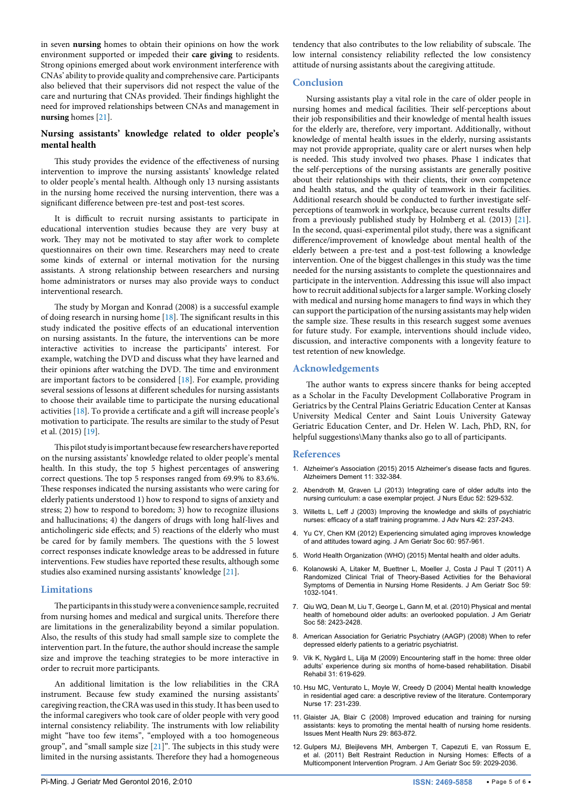in seven **nursing** homes to obtain their opinions on how the work environment supported or impeded their **care giving** to residents. Strong opinions emerged about work environment interference with CNAs' ability to provide quality and comprehensive care. Participants also believed that their supervisors did not respect the value of the care and nurturing that CNAs provided. Their findings highlight the need for improved relationships between CNAs and management in **nursing** homes [[21\]](#page-5-8).

## **Nursing assistants' knowledge related to older people's mental health**

This study provides the evidence of the effectiveness of nursing intervention to improve the nursing assistants' knowledge related to older people's mental health. Although only 13 nursing assistants in the nursing home received the nursing intervention, there was a significant difference between pre-test and post-test scores.

It is difficult to recruit nursing assistants to participate in educational intervention studies because they are very busy at work. They may not be motivated to stay after work to complete questionnaires on their own time. Researchers may need to create some kinds of external or internal motivation for the nursing assistants. A strong relationship between researchers and nursing home administrators or nurses may also provide ways to conduct interventional research.

The study by Morgan and Konrad (2008) is a successful example of doing research in nursing home [[18](#page-5-5)]. The significant results in this study indicated the positive effects of an educational intervention on nursing assistants. In the future, the interventions can be more interactive activities to increase the participants' interest. For example, watching the DVD and discuss what they have learned and their opinions after watching the DVD. The time and environment are important factors to be considered [[18](#page-5-5)]. For example, providing several sessions of lessons at different schedules for nursing assistants to choose their available time to participate the nursing educational activities [\[18\]](#page-5-5). To provide a certificate and a gift will increase people's motivation to participate. The results are similar to the study of Pesut et al. (2015) [\[19\]](#page-5-6).

This pilot study is important because few researchers have reported on the nursing assistants' knowledge related to older people's mental health. In this study, the top 5 highest percentages of answering correct questions. The top 5 responses ranged from 69.9% to 83.6%. These responses indicated the nursing assistants who were caring for elderly patients understood 1) how to respond to signs of anxiety and stress; 2) how to respond to boredom; 3) how to recognize illusions and hallucinations; 4) the dangers of drugs with long half-lives and anticholingeric side effects; and 5) reactions of the elderly who must be cared for by family members. The questions with the 5 lowest correct responses indicate knowledge areas to be addressed in future interventions. Few studies have reported these results, although some studies also examined nursing assistants' knowledge [\[21\]](#page-5-8).

## **Limitations**

The participants in this study were a convenience sample, recruited from nursing homes and medical and surgical units. Therefore there are limitations in the generalizability beyond a similar population. Also, the results of this study had small sample size to complete the intervention part. In the future, the author should increase the sample size and improve the teaching strategies to be more interactive in order to recruit more participants.

An additional limitation is the low reliabilities in the CRA instrument. Because few study examined the nursing assistants' caregiving reaction, the CRA was used in this study. It has been used to the informal caregivers who took care of older people with very good internal consistency reliability. The instruments with low reliability might "have too few items", "employed with a too homogeneous group", and "small sample size [[21](#page-5-8)]". The subjects in this study were limited in the nursing assistants. Therefore they had a homogeneous

tendency that also contributes to the low reliability of subscale. The low internal consistency reliability reflected the low consistency attitude of nursing assistants about the caregiving attitude.

## **Conclusion**

Nursing assistants play a vital role in the care of older people in nursing homes and medical facilities. Their self-perceptions about their job responsibilities and their knowledge of mental health issues for the elderly are, therefore, very important. Additionally, without knowledge of mental health issues in the elderly, nursing assistants may not provide appropriate, quality care or alert nurses when help is needed. This study involved two phases. Phase 1 indicates that the self-perceptions of the nursing assistants are generally positive about their relationships with their clients, their own competence and health status, and the quality of teamwork in their facilities. Additional research should be conducted to further investigate selfperceptions of teamwork in workplace, because current results differ from a previously published study by Holmberg et al. (2013) [[21\]](#page-5-8). In the second, quasi-experimental pilot study, there was a significant difference/improvement of knowledge about mental health of the elderly between a pre-test and a post-test following a knowledge intervention. One of the biggest challenges in this study was the time needed for the nursing assistants to complete the questionnaires and participate in the intervention. Addressing this issue will also impact how to recruit additional subjects for a larger sample. Working closely with medical and nursing home managers to find ways in which they can support the participation of the nursing assistants may help widen the sample size. These results in this research suggest some avenues for future study. For example, interventions should include video, discussion, and interactive components with a longevity feature to test retention of new knowledge.

## **Acknowledgements**

The author wants to express sincere thanks for being accepted as a Scholar in the Faculty Development Collaborative Program in Geriatrics by the Central Plains Geriatric Education Center at Kansas University Medical Center and Saint Louis University Gateway Geriatric Education Center, and Dr. Helen W. Lach, PhD, RN, for helpful suggestions\Many thanks also go to all of participants.

## **References**

- <span id="page-4-0"></span>1. [Alzheimer's Association \(2015\) 2015 Alzheimer's disease facts and figures.](http://www.ncbi.nlm.nih.gov/pubmed/25984581)  [Alzheimers Dement 11: 332-384.](http://www.ncbi.nlm.nih.gov/pubmed/25984581)
- <span id="page-4-1"></span>2. [Abendroth M, Graven LJ \(2013\) Integrating care of older adults into the](http://www.ncbi.nlm.nih.gov/pubmed/23952775)  [nursing curriculum: a case exemplar project. J Nurs Educ 52: 529-532.](http://www.ncbi.nlm.nih.gov/pubmed/23952775)
- <span id="page-4-2"></span>3. [Willetts L, Leff J \(2003\) Improving the knowledge and skills of psychiatric](http://www.ncbi.nlm.nih.gov/pubmed/12680967)  [nurses: efficacy of a staff training programme. J Adv Nurs 42: 237-243.](http://www.ncbi.nlm.nih.gov/pubmed/12680967)
- <span id="page-4-3"></span>4. [Yu CY, Chen KM \(2012\) Experiencing simulated aging improves knowledge](http://www.ncbi.nlm.nih.gov/pubmed/22568571)  [of and attitudes toward aging. J Am Geriatr Soc 60: 957-961.](http://www.ncbi.nlm.nih.gov/pubmed/22568571)
- <span id="page-4-4"></span>5. [World Health Organization \(WHO\) \(2015\) Mental health and older adults.](http://www.who.int/mediacentre/factsheets/fs381/en/)
- <span id="page-4-5"></span>6. [Kolanowski A, Litaker M, Buettner L, Moeller J, Costa J Paul T \(2011\) A](http://www.ncbi.nlm.nih.gov/pubmed/21649633)  [Randomized Clinical Trial of Theory-Based Activities for the Behavioral](http://www.ncbi.nlm.nih.gov/pubmed/21649633)  [Symptoms of Dementia in Nursing Home Residents. J Am Geriatr Soc 59:](http://www.ncbi.nlm.nih.gov/pubmed/21649633)  [1032-1041.](http://www.ncbi.nlm.nih.gov/pubmed/21649633)
- <span id="page-4-6"></span>7. [Qiu WQ, Dean M, Liu T, George L, Gann M, et al. \(2010\) Physical and mental](http://www.ncbi.nlm.nih.gov/pubmed/21070195)  [health of homebound older adults: an overlooked population. J Am Geriatr](http://www.ncbi.nlm.nih.gov/pubmed/21070195)  [Soc 58: 2423-2428.](http://www.ncbi.nlm.nih.gov/pubmed/21070195)
- <span id="page-4-7"></span>8. American Association for Geriatric Psychiatry (AAGP) (2008) When to refer depressed elderly patients to a geriatric psychiatrist.
- <span id="page-4-8"></span>9. [Vik K, Nygård L, Lilja M \(2009\) Encountering staff in the home: three older](http://www.ncbi.nlm.nih.gov/pubmed/19280438)  [adults' experience during six months of home-based rehabilitation. Disabil](http://www.ncbi.nlm.nih.gov/pubmed/19280438)  [Rehabil 31: 619-629.](http://www.ncbi.nlm.nih.gov/pubmed/19280438)
- <span id="page-4-9"></span>10. [Hsu MC, Venturato L, Moyle W, Creedy D \(2004\) Mental health knowledge](http://www.ncbi.nlm.nih.gov/pubmed/15551674)  [in residential aged care: a descriptive review of the literature. Contemporary](http://www.ncbi.nlm.nih.gov/pubmed/15551674)  [Nurse 17: 231-239.](http://www.ncbi.nlm.nih.gov/pubmed/15551674)
- <span id="page-4-10"></span>11. [Glaister JA, Blair C \(2008\) Improved education and training for nursing](http://www.ncbi.nlm.nih.gov/pubmed/18649212)  [assistants: keys to promoting the mental health of nursing home residents.](http://www.ncbi.nlm.nih.gov/pubmed/18649212)  [Issues Ment Health Nurs 29: 863-872.](http://www.ncbi.nlm.nih.gov/pubmed/18649212)
- <span id="page-4-11"></span>12. [Gulpers MJ, Bleijlevens MH, Ambergen T, Capezuti E, van Rossum E,](http://www.ncbi.nlm.nih.gov/pubmed/22092189)  [et al. \(2011\) Belt Restraint Reduction in Nursing Homes: Effects of a](http://www.ncbi.nlm.nih.gov/pubmed/22092189)  [Multicomponent Intervention Program. J Am Geriatr Soc 59: 2029-2036.](http://www.ncbi.nlm.nih.gov/pubmed/22092189)